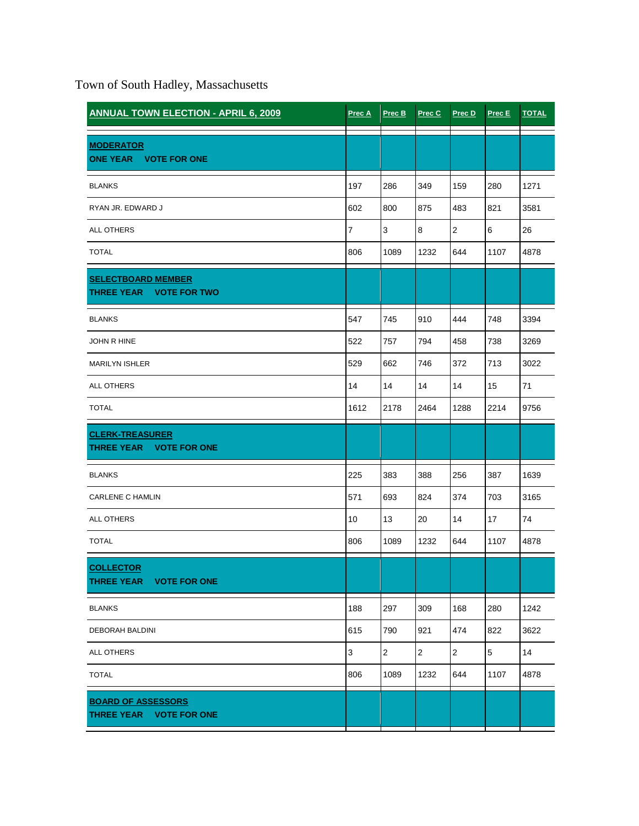Town of South Hadley, Massachusetts

| <b>ANNUAL TOWN ELECTION - APRIL 6, 2009</b>                           | Prec A | Prec B         | Prec C         | Prec D         | Prec E     | <b>TOTAL</b> |
|-----------------------------------------------------------------------|--------|----------------|----------------|----------------|------------|--------------|
| <b>MODERATOR</b><br>ONE YEAR VOTE FOR ONE                             |        |                |                |                |            |              |
| <b>BLANKS</b>                                                         | 197    | 286            | 349            | 159            | 280        | 1271         |
| RYAN JR. EDWARD J                                                     | 602    | 800            | 875            | 483            | 821        | 3581         |
| <b>ALL OTHERS</b>                                                     | 7      | 3              | 8              | $\overline{2}$ | 6          | 26           |
| <b>TOTAL</b>                                                          | 806    | 1089           | 1232           | 644            | 1107       | 4878         |
| <b>SELECTBOARD MEMBER</b><br><b>THREE YEAR</b><br><b>VOTE FOR TWO</b> |        |                |                |                |            |              |
| <b>BLANKS</b>                                                         | 547    | 745            | 910            | 444            | 748        | 3394         |
| <b>JOHN R HINE</b>                                                    | 522    | 757            | 794            | 458            | 738        | 3269         |
| <b>MARILYN ISHLER</b>                                                 | 529    | 662            | 746            | 372            | 713        | 3022         |
| <b>ALL OTHERS</b>                                                     | 14     | 14             | 14             | 14             | 15         | 71           |
| <b>TOTAL</b>                                                          | 1612   | 2178           | 2464           | 1288           | 2214       | 9756         |
| <b>CLERK-TREASURER</b><br>THREE YEAR VOTE FOR ONE                     |        |                |                |                |            |              |
| <b>BLANKS</b>                                                         | 225    | 383            | 388            | 256            | 387        | 1639         |
| CARLENE C HAMLIN                                                      | 571    | 693            | 824            | 374            | 703        | 3165         |
| <b>ALL OTHERS</b>                                                     | 10     | 13             | 20             | 14             | 17         | 74           |
| <b>TOTAL</b>                                                          | 806    | 1089           | 1232           | 644            | 1107       | 4878         |
| <b>COLLECTOR</b><br>THREE YEAR VOTE FOR ONE                           |        |                |                |                |            |              |
| <b>BLANKS</b>                                                         | 188    | 297            | 309            | 168            | 280        | 1242         |
| DEBORAH BALDINI                                                       | 615    | 790            | 921            | 474            | 822        | 3622         |
| ALL OTHERS                                                            | 3      | $\overline{c}$ | $\overline{2}$ | $\overline{c}$ | $\sqrt{5}$ | 14           |
| <b>TOTAL</b>                                                          | 806    | 1089           | 1232           | 644            | 1107       | 4878         |
| <b>BOARD OF ASSESSORS</b><br>THREE YEAR VOTE FOR ONE                  |        |                |                |                |            |              |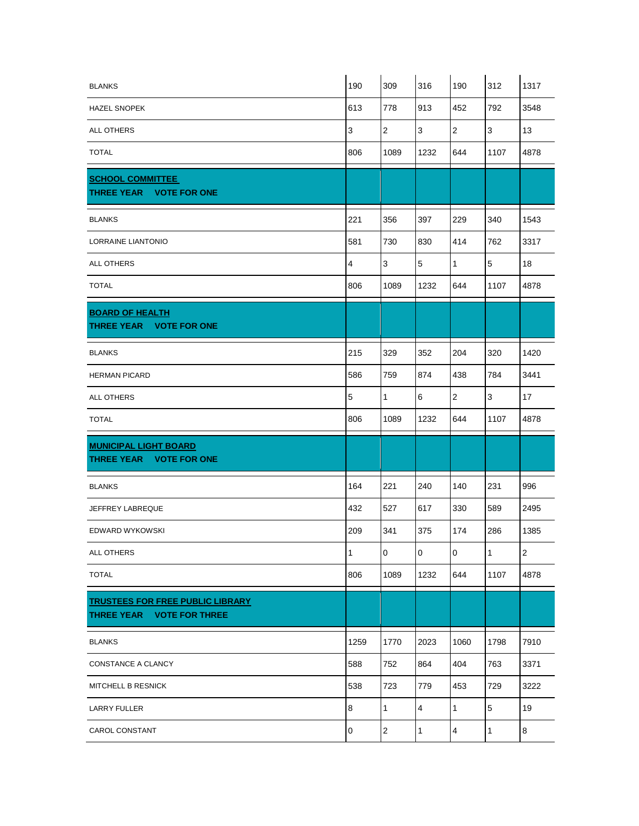| <b>BLANKS</b>                                                        | 190                     | 309            | 316          | 190                     | 312          | 1317       |
|----------------------------------------------------------------------|-------------------------|----------------|--------------|-------------------------|--------------|------------|
| <b>HAZEL SNOPEK</b>                                                  | 613                     | 778            | 913          | 452                     | 792          | 3548       |
| ALL OTHERS                                                           | $\mathsf 3$             | $\mathbf 2$    | $\mathbf{3}$ | $\boldsymbol{2}$        | 3            | 13         |
| <b>TOTAL</b>                                                         | 806                     | 1089           | 1232         | 644                     | 1107         | 4878       |
| <b>SCHOOL COMMITTEE</b><br>THREE YEAR VOTE FOR ONE                   |                         |                |              |                         |              |            |
| <b>BLANKS</b>                                                        | 221                     | 356            | 397          | 229                     | 340          | 1543       |
| LORRAINE LIANTONIO                                                   | 581                     | 730            | 830          | 414                     | 762          | 3317       |
| <b>ALL OTHERS</b>                                                    | $\overline{\mathbf{4}}$ | $\mathbf{3}$   | $\mathbf 5$  | $\mathbf{1}$            | 5            | 18         |
| <b>TOTAL</b>                                                         | 806                     | 1089           | 1232         | 644                     | 1107         | 4878       |
| <b>BOARD OF HEALTH</b><br><b>THREE YEAR</b><br><b>VOTE FOR ONE</b>   |                         |                |              |                         |              |            |
| <b>BLANKS</b>                                                        | 215                     | 329            | 352          | 204                     | 320          | 1420       |
| <b>HERMAN PICARD</b>                                                 | 586                     | 759            | 874          | 438                     | 784          | 3441       |
| ALL OTHERS                                                           | $\mathbf 5$             | $\mathbf{1}$   | 6            | $\overline{2}$          | 3            | 17         |
| <b>TOTAL</b>                                                         | 806                     | 1089           | 1232         | 644                     | 1107         | 4878       |
| <b>MUNICIPAL LIGHT BOARD</b><br>THREE YEAR VOTE FOR ONE              |                         |                |              |                         |              |            |
| <b>BLANKS</b>                                                        | 164                     | 221            | 240          | 140                     | 231          | 996        |
| JEFFREY LABREQUE                                                     | 432                     | 527            | 617          | 330                     | 589          | 2495       |
| EDWARD WYKOWSKI                                                      | 209                     | 341            | 375          | 174                     | 286          | 1385       |
| ALL OTHERS                                                           | 1                       | $\overline{0}$ | 0            | $\overline{0}$          | 1            | $\sqrt{2}$ |
| <b>TOTAL</b>                                                         | 806                     | 1089           | 1232         | 644                     | 1107         | 4878       |
| <b>TRUSTEES FOR FREE PUBLIC LIBRARY</b><br>THREE YEAR VOTE FOR THREE |                         |                |              |                         |              |            |
| <b>BLANKS</b>                                                        | 1259                    | 1770           | 2023         | 1060                    | 1798         | 7910       |
| CONSTANCE A CLANCY                                                   | 588                     | 752            | 864          | 404                     | 763          | 3371       |
| MITCHELL B RESNICK                                                   | 538                     | 723            | 779          | 453                     | 729          | 3222       |
| <b>LARRY FULLER</b>                                                  | 8                       | $\mathbf{1}$   | 4            | $\mathbf{1}$            | 5            | 19         |
| CAROL CONSTANT                                                       | $\mathbf 0$             | $\overline{2}$ | $\mathbf{1}$ | $\overline{\mathbf{4}}$ | $\mathbf{1}$ | $\bf 8$    |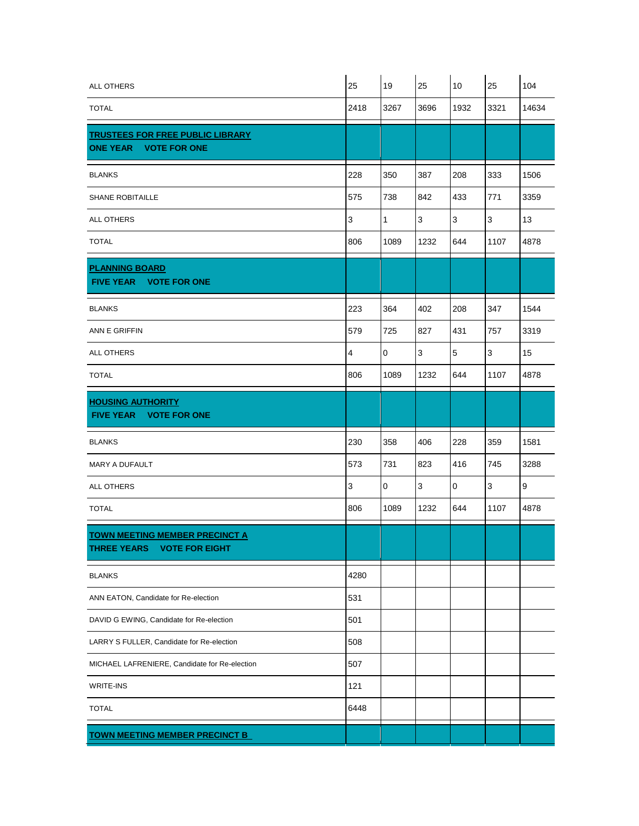| ALL OTHERS                                                                           | 25             | 19           | 25   | 10          | 25           | 104              |
|--------------------------------------------------------------------------------------|----------------|--------------|------|-------------|--------------|------------------|
| <b>TOTAL</b>                                                                         | 2418           | 3267         | 3696 | 1932        | 3321         | 14634            |
| <b>TRUSTEES FOR FREE PUBLIC LIBRARY</b><br>ONE YEAR VOTE FOR ONE                     |                |              |      |             |              |                  |
| <b>BLANKS</b>                                                                        | 228            | 350          | 387  | 208         | 333          | 1506             |
| <b>SHANE ROBITAILLE</b>                                                              | 575            | 738          | 842  | 433         | 771          | 3359             |
| ALL OTHERS                                                                           | $\mathbf{3}$   | $\mathbf{1}$ | 3    | 3           | 3            | 13               |
| <b>TOTAL</b>                                                                         | 806            | 1089         | 1232 | 644         | 1107         | 4878             |
| <b>PLANNING BOARD</b><br>FIVE YEAR VOTE FOR ONE                                      |                |              |      |             |              |                  |
| <b>BLANKS</b>                                                                        | 223            | 364          | 402  | 208         | 347          | 1544             |
| ANN E GRIFFIN                                                                        | 579            | 725          | 827  | 431         | 757          | 3319             |
| ALL OTHERS                                                                           | $\overline{4}$ | 0            | 3    | 5           | 3            | 15               |
| <b>TOTAL</b>                                                                         | 806            | 1089         | 1232 | 644         | 1107         | 4878             |
| <b>HOUSING AUTHORITY</b><br>FIVE YEAR VOTE FOR ONE                                   |                |              |      |             |              |                  |
| <b>BLANKS</b>                                                                        | 230            | 358          | 406  | 228         | 359          | 1581             |
| MARY A DUFAULT                                                                       | 573            | 731          | 823  | 416         | 745          | 3288             |
| <b>ALL OTHERS</b>                                                                    | $\mathsf 3$    | $\mathbf 0$  | 3    | $\mathbf 0$ | $\mathbf{3}$ | $\boldsymbol{9}$ |
| <b>TOTAL</b>                                                                         | 806            | 1089         | 1232 | 644         | 1107         | 4878             |
| <b>TOWN MEETING MEMBER PRECINCT A</b><br><b>THREE YEARS</b><br><b>VOTE FOR EIGHT</b> |                |              |      |             |              |                  |
| <b>BLANKS</b>                                                                        | 4280           |              |      |             |              |                  |
| ANN EATON, Candidate for Re-election                                                 | 531            |              |      |             |              |                  |
| DAVID G EWING, Candidate for Re-election                                             | 501            |              |      |             |              |                  |
| LARRY S FULLER, Candidate for Re-election                                            | 508            |              |      |             |              |                  |
| MICHAEL LAFRENIERE, Candidate for Re-election                                        | 507            |              |      |             |              |                  |
| <b>WRITE-INS</b>                                                                     | 121            |              |      |             |              |                  |
| <b>TOTAL</b>                                                                         | 6448           |              |      |             |              |                  |
| <b>TOWN MEETING MEMBER PRECINCT B</b>                                                |                |              |      |             |              |                  |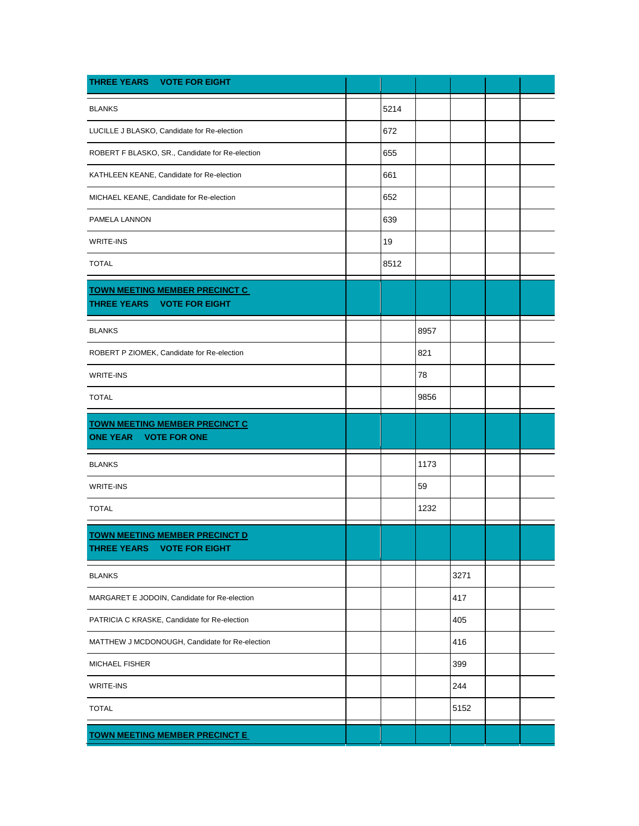| THREE YEARS VOTE FOR EIGHT                                                      |      |      |      |  |
|---------------------------------------------------------------------------------|------|------|------|--|
| <b>BLANKS</b>                                                                   | 5214 |      |      |  |
| LUCILLE J BLASKO, Candidate for Re-election                                     | 672  |      |      |  |
| ROBERT F BLASKO, SR., Candidate for Re-election                                 | 655  |      |      |  |
| KATHLEEN KEANE, Candidate for Re-election                                       | 661  |      |      |  |
| MICHAEL KEANE, Candidate for Re-election                                        | 652  |      |      |  |
| PAMELA LANNON                                                                   | 639  |      |      |  |
| WRITE-INS                                                                       | 19   |      |      |  |
| <b>TOTAL</b>                                                                    | 8512 |      |      |  |
| <b>TOWN MEETING MEMBER PRECINCT C</b>                                           |      |      |      |  |
| THREE YEARS VOTE FOR EIGHT                                                      |      |      |      |  |
| <b>BLANKS</b>                                                                   |      | 8957 |      |  |
| ROBERT P ZIOMEK, Candidate for Re-election                                      |      | 821  |      |  |
| WRITE-INS                                                                       |      | 78   |      |  |
| <b>TOTAL</b>                                                                    |      | 9856 |      |  |
| <b>TOWN MEETING MEMBER PRECINCT C</b><br><b>ONE YEAR</b><br><b>VOTE FOR ONE</b> |      |      |      |  |
| <b>BLANKS</b>                                                                   |      | 1173 |      |  |
| WRITE-INS                                                                       |      | 59   |      |  |
| <b>TOTAL</b>                                                                    |      | 1232 |      |  |
| <b>TOWN MEETING MEMBER PRECINCT D</b><br>THREE YEARS VOTE FOR EIGHT             |      |      |      |  |
| <b>BLANKS</b>                                                                   |      |      | 3271 |  |
| MARGARET E JODOIN, Candidate for Re-election                                    |      |      | 417  |  |
| PATRICIA C KRASKE, Candidate for Re-election                                    |      |      | 405  |  |
| MATTHEW J MCDONOUGH, Candidate for Re-election                                  |      |      | 416  |  |
| MICHAEL FISHER                                                                  |      |      | 399  |  |
| <b>WRITE-INS</b>                                                                |      |      | 244  |  |
| <b>TOTAL</b>                                                                    |      |      | 5152 |  |
| <b>TOWN MEETING MEMBER PRECINCT E</b>                                           |      |      |      |  |